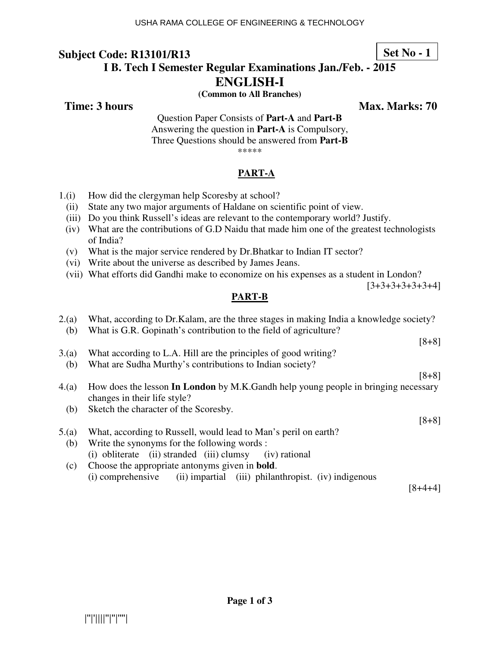## **Set No - 1**

## **I B. Tech I Semester Regular Examinations Jan./Feb. - 2015 ENGLISH-I**

**(Common to All Branches)** 

**Time: 3 hours** Max. Marks: 70

Question Paper Consists of **Part-A** and **Part-B** Answering the question in **Part-A** is Compulsory, Three Questions should be answered from **Part-B** \*\*\*\*\*

#### **PART-A**

- 1.(i) How did the clergyman help Scoresby at school?
	- (ii) State any two major arguments of Haldane on scientific point of view.
	- (iii) Do you think Russell's ideas are relevant to the contemporary world? Justify.
	- (iv) What are the contributions of G.D Naidu that made him one of the greatest technologists of India?
	- (v) What is the major service rendered by Dr.Bhatkar to Indian IT sector?
	- (vi) Write about the universe as described by James Jeans.
	- (vii) What efforts did Gandhi make to economize on his expenses as a student in London?

 $[3+3+3+3+3+3+4]$ 

#### **PART-B**

| 2.(a) | What, according to Dr. Kalam, are the three stages in making India a knowledge society? |
|-------|-----------------------------------------------------------------------------------------|
| (b)   | What is G.R. Gopinath's contribution to the field of agriculture?                       |
|       | $[8+8]$                                                                                 |
| 3(a)  | What according to L.A. Hill are the principles of good writing?                         |
| (b)   | What are Sudha Murthy's contributions to Indian society?                                |
|       | $[8+8]$                                                                                 |
| 4(a)  | How does the lesson In London by M.K.Gandh help young people in bringing necessary      |
|       | changes in their life style?                                                            |
| (b)   | Sketch the character of the Scoresby.                                                   |
|       | $[8+8]$                                                                                 |
| 5(a)  | What, according to Russell, would lead to Man's peril on earth?                         |
| (b)   | Write the synonyms for the following words:                                             |
|       | (i) obliterate (ii) stranded (iii) clumsy<br>(iv) rational                              |
| (c)   | Choose the appropriate antonyms given in <b>bold</b> .                                  |
|       | (ii) impartial (iii) philanthropist. (iv) indigenous<br>(i) comprehensive               |
|       | $8+4$                                                                                   |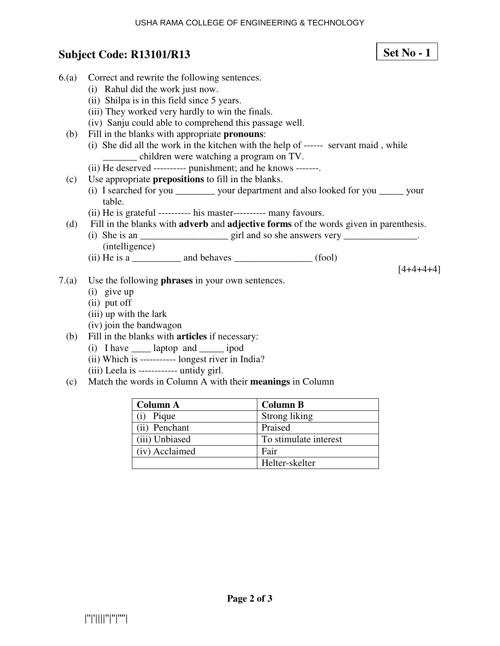## **Subject Code: R13101/R13**

- 6.(a) Correct and rewrite the following sentences. (i) Rahul did the work just now. (ii) Shilpa is in this field since 5 years.
	- (iii) They worked very hardly to win the finals.
	- (iv) Sanju could able to comprehend this passage well.
	- (b) Fill in the blanks with appropriate **pronouns**:
		- (i) She did all the work in the kitchen with the help of ------ servant maid , while \_\_\_\_\_\_\_ children were watching a program on TV.
		- (ii) He deserved ---------- punishment; and he knows -------.
	- (c) Use appropriate **prepositions** to fill in the blanks.
		- (i) I searched for you \_\_\_\_\_\_\_\_ your department and also looked for you \_\_\_\_\_ your table.
		- (ii) He is grateful ---------- his master---------- many favours.
	- (d) Fill in the blanks with **adverb** and **adjective forms** of the words given in parenthesis.
		- (i) She is an  $\frac{1}{\sqrt{2}}$  is an  $\frac{1}{\sqrt{2}}$  girl and so she answers very  $\frac{1}{\sqrt{2}}$ . (intelligence)
		- $(ii)$  He is a \_\_\_\_\_\_\_\_\_\_\_\_\_\_ and behaves \_\_\_\_\_\_\_\_\_\_\_\_\_\_\_\_\_\_\_\_\_\_\_ (fool)

 $[4+4+4+4]$ 

- 7.(a) Use the following **phrases** in your own sentences.
	- (i) give up
	- (ii) put off
	- (iii) up with the lark
	- (iv) join the bandwagon
	- (b) Fill in the blanks with **articles** if necessary:
		- (i) I have \_\_\_\_ laptop and \_\_\_\_\_ ipod
		- (ii) Which is ----------- longest river in India?
		- (iii) Leela is ------------ untidy girl.
	- (c) Match the words in Column A with their **meanings** in Column

| <b>Column A</b> | <b>Column B</b>       |
|-----------------|-----------------------|
| Pique           | Strong liking         |
| (ii) Penchant   | Praised               |
| (iii) Unbiased  | To stimulate interest |
| (iv) Acclaimed  | Fair                  |
|                 | Helter-skelter        |

## **Set No - 1**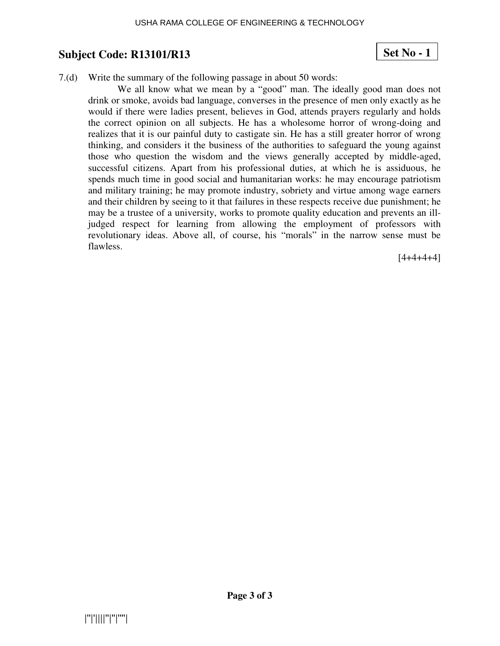### **Set No - 1**

7.(d) Write the summary of the following passage in about 50 words:

We all know what we mean by a "good" man. The ideally good man does not drink or smoke, avoids bad language, converses in the presence of men only exactly as he would if there were ladies present, believes in God, attends prayers regularly and holds the correct opinion on all subjects. He has a wholesome horror of wrong-doing and realizes that it is our painful duty to castigate sin. He has a still greater horror of wrong thinking, and considers it the business of the authorities to safeguard the young against those who question the wisdom and the views generally accepted by middle-aged, successful citizens. Apart from his professional duties, at which he is assiduous, he spends much time in good social and humanitarian works: he may encourage patriotism and military training; he may promote industry, sobriety and virtue among wage earners and their children by seeing to it that failures in these respects receive due punishment; he may be a trustee of a university, works to promote quality education and prevents an illjudged respect for learning from allowing the employment of professors with revolutionary ideas. Above all, of course, his "morals" in the narrow sense must be flawless.

 $[4+4+4+4]$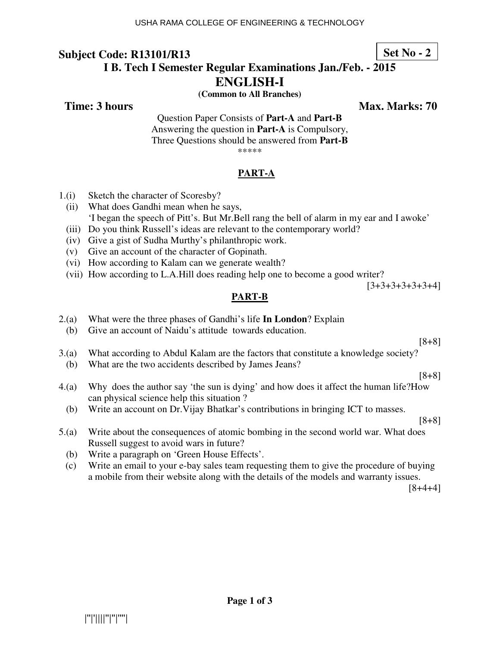## **Set No - 2**

## **I B. Tech I Semester Regular Examinations Jan./Feb. - 2015 ENGLISH-I**

**(Common to All Branches)** 

**Time: 3 hours Max. Marks: 70 Max. Marks: 70** 

Question Paper Consists of **Part-A** and **Part-B** Answering the question in **Part-A** is Compulsory, Three Questions should be answered from **Part-B** \*\*\*\*\*

### **PART-A**

- 1.(i) Sketch the character of Scoresby?
	- (ii) What does Gandhi mean when he says, 'I began the speech of Pitt's. But Mr.Bell rang the bell of alarm in my ear and I awoke'
	- (iii) Do you think Russell's ideas are relevant to the contemporary world?
	- (iv) Give a gist of Sudha Murthy's philanthropic work.
	- (v) Give an account of the character of Gopinath.
	- (vi) How according to Kalam can we generate wealth?
	- (vii) How according to L.A.Hill does reading help one to become a good writer?

[3+3+3+3+3+3+4]

### **PART-B**

- 2.(a) What were the three phases of Gandhi's life **In London**? Explain
	- (b) Give an account of Naidu's attitude towards education.

[8+8]

[8+8]

- 3.(a) What according to Abdul Kalam are the factors that constitute a knowledge society?
- (b) What are the two accidents described by James Jeans?
- 4.(a) Why does the author say 'the sun is dying' and how does it affect the human life?How can physical science help this situation ?
	- (b) Write an account on Dr.Vijay Bhatkar's contributions in bringing ICT to masses.

[8+8]

- 5.(a) Write about the consequences of atomic bombing in the second world war. What does Russell suggest to avoid wars in future?
	- (b) Write a paragraph on 'Green House Effects'.
	- (c) Write an email to your e-bay sales team requesting them to give the procedure of buying a mobile from their website along with the details of the models and warranty issues.

[8+4+4]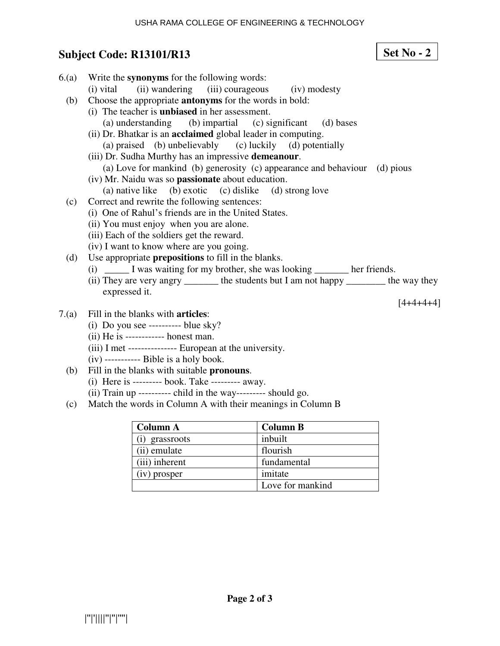**Set No - 2**

# **Subject Code: R13101/R13**

| 6(a)  | Write the synonyms for the following words:                                              |                 |             |
|-------|------------------------------------------------------------------------------------------|-----------------|-------------|
|       | (ii) wandering<br>(iii) courageous<br>(i) vital                                          | (iv) modesty    |             |
| (b)   | Choose the appropriate <b>antonyms</b> for the words in bold:                            |                 |             |
|       | (i) The teacher is <b>unbiased</b> in her assessment.                                    |                 |             |
|       | (a) understanding (b) impartial (c) significant                                          | (d) bases       |             |
|       | (ii) Dr. Bhatkar is an <b>acclaimed</b> global leader in computing.                      |                 |             |
|       | (a) praised (b) unbelievably (c) luckily (d) potentially                                 |                 |             |
|       | (iii) Dr. Sudha Murthy has an impressive demeanour.                                      |                 |             |
|       | (a) Love for mankind (b) generosity (c) appearance and behaviour                         |                 | (d) pious   |
|       | (iv) Mr. Naidu was so <b>passionate</b> about education.                                 |                 |             |
|       | (a) native like (b) exotic (c) dislike (d) strong love                                   |                 |             |
| (c)   | Correct and rewrite the following sentences:                                             |                 |             |
|       | (i) One of Rahul's friends are in the United States.                                     |                 |             |
|       | (ii) You must enjoy when you are alone.                                                  |                 |             |
|       | (iii) Each of the soldiers get the reward.                                               |                 |             |
|       | (iv) I want to know where are you going.                                                 |                 |             |
| (d)   | Use appropriate <b>prepositions</b> to fill in the blanks.                               |                 |             |
|       | (i) ________ I was waiting for my brother, she was looking ___________ her friends.      |                 |             |
|       | (ii) They are very angry ________ the students but I am not happy _________ the way they |                 |             |
|       | expressed it.                                                                            |                 |             |
|       |                                                                                          |                 | $[4+4+4+4]$ |
| 7.(a) | Fill in the blanks with <b>articles</b> :                                                |                 |             |
|       | (i) Do you see ---------- blue sky?                                                      |                 |             |
|       | $(ii)$ He is ------------ honest man.                                                    |                 |             |
|       | (iii) I met --------------- European at the university.                                  |                 |             |
|       | $(iv)$ ----------- Bible is a holy book.                                                 |                 |             |
| (b)   | Fill in the blanks with suitable pronouns.                                               |                 |             |
|       | (i) Here is --------- book. Take --------- away.                                         |                 |             |
|       | (ii) Train up ---------- child in the way--------- should go.                            |                 |             |
| (c)   | Match the words in Column A with their meanings in Column B                              |                 |             |
|       |                                                                                          |                 |             |
|       | <b>Column A</b>                                                                          | <b>Column B</b> |             |

| Column A       | <b>Column B</b>  |
|----------------|------------------|
| (i) grassroots | inbuilt          |
| (ii) emulate   | flourish         |
| (iii) inherent | fundamental      |
| (iv) prosper   | imitate          |
|                | Love for mankind |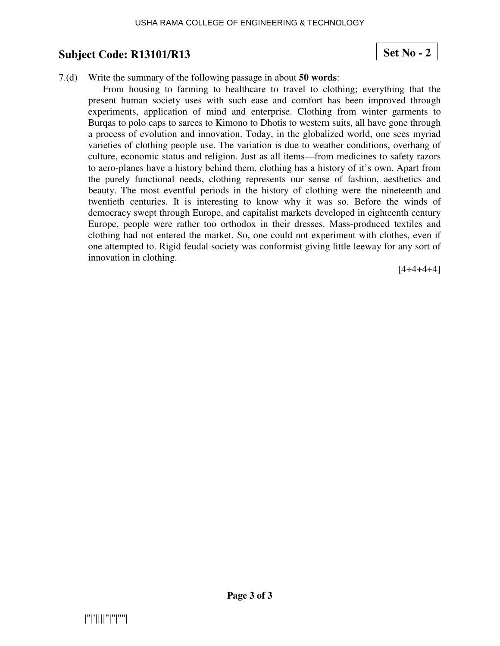## **Set No - 2**

#### 7.(d) Write the summary of the following passage in about **50 words**:

From housing to farming to healthcare to travel to clothing; everything that the present human society uses with such ease and comfort has been improved through experiments, application of mind and enterprise. Clothing from winter garments to Burqas to polo caps to sarees to Kimono to Dhotis to western suits, all have gone through a process of evolution and innovation. Today, in the globalized world, one sees myriad varieties of clothing people use. The variation is due to weather conditions, overhang of culture, economic status and religion. Just as all items—from medicines to safety razors to aero-planes have a history behind them, clothing has a history of it's own. Apart from the purely functional needs, clothing represents our sense of fashion, aesthetics and beauty. The most eventful periods in the history of clothing were the nineteenth and twentieth centuries. It is interesting to know why it was so. Before the winds of democracy swept through Europe, and capitalist markets developed in eighteenth century Europe, people were rather too orthodox in their dresses. Mass-produced textiles and clothing had not entered the market. So, one could not experiment with clothes, even if one attempted to. Rigid feudal society was conformist giving little leeway for any sort of innovation in clothing.

 $[4+4+4+4]$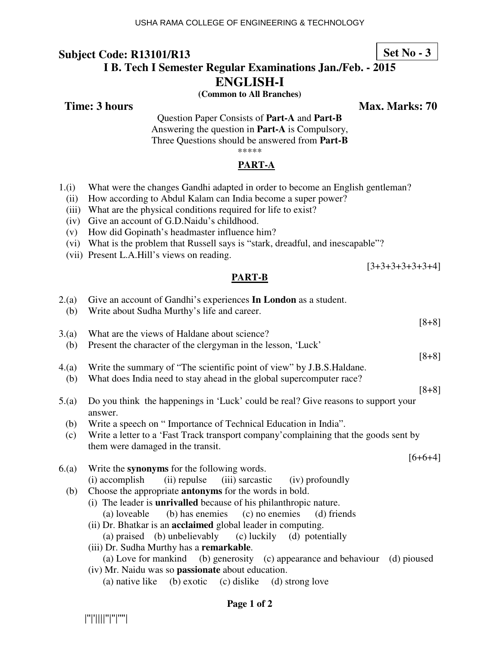### **I B. Tech I Semester Regular Examinations Jan./Feb. - 2015 ENGLISH-I**

**(Common to All Branches)** 

**Time: 3 hours** Max. Marks: 70

[3+3+3+3+3+3+4]

Question Paper Consists of **Part-A** and **Part-B** Answering the question in **Part-A** is Compulsory, Three Questions should be answered from **Part-B** \*\*\*\*\*

#### **PART-A**

- 1.(i) What were the changes Gandhi adapted in order to become an English gentleman?
- (ii) How according to Abdul Kalam can India become a super power?
- (iii) What are the physical conditions required for life to exist?
- (iv) Give an account of G.D.Naidu's childhood.
- (v) How did Gopinath's headmaster influence him?
- (vi) What is the problem that Russell says is "stark, dreadful, and inescapable"?
- (vii) Present L.A.Hill's views on reading.

#### **PART-B**

| 2.(a)<br>(b) | Give an account of Gandhi's experiences In London as a student.<br>Write about Sudha Murthy's life and career.                  |
|--------------|---------------------------------------------------------------------------------------------------------------------------------|
|              | $[8+8]$                                                                                                                         |
| 3(a)         | What are the views of Haldane about science?                                                                                    |
| (b)          | Present the character of the clergyman in the lesson, 'Luck'                                                                    |
|              | $[8+8]$                                                                                                                         |
| 4(a)         | Write the summary of "The scientific point of view" by J.B.S. Haldane.                                                          |
| (b)          | What does India need to stay ahead in the global supercomputer race?                                                            |
|              | $[8+8]$                                                                                                                         |
| 5.(a)        | Do you think the happenings in 'Luck' could be real? Give reasons to support your<br>answer.                                    |
| (b)          | Write a speech on "Importance of Technical Education in India".                                                                 |
| (c)          | Write a letter to a 'Fast Track transport company' complaining that the goods sent by                                           |
|              | them were damaged in the transit.                                                                                               |
|              | $[6+6+4]$                                                                                                                       |
| 6(a)         | Write the synonyms for the following words.                                                                                     |
| (b)          | (ii) repulse (iii) sarcastic (iv) profoundly<br>(i) accomplish<br>Choose the appropriate <b>antonyms</b> for the words in bold. |
|              | (i) The leader is <b>unrivalled</b> because of his philanthropic nature.                                                        |
|              | (b) has enemies (c) no enemies<br>(a) loveable<br>(d) friends                                                                   |
|              | (ii) Dr. Bhatkar is an <b>acclaimed</b> global leader in computing.                                                             |
|              | (a) praised (b) unbelievably (c) luckily (d) potentially                                                                        |
|              | (iii) Dr. Sudha Murthy has a remarkable.                                                                                        |
|              | (a) Love for mankind (b) generosity (c) appearance and behaviour (d) pioused                                                    |
|              | (iv) Mr. Naidu was so <b>passionate</b> about education.                                                                        |
|              | (a) native like (b) exotic (c) dislike (d) strong love                                                                          |

|''|'||||''|''|''''|

#### **Set No - 3**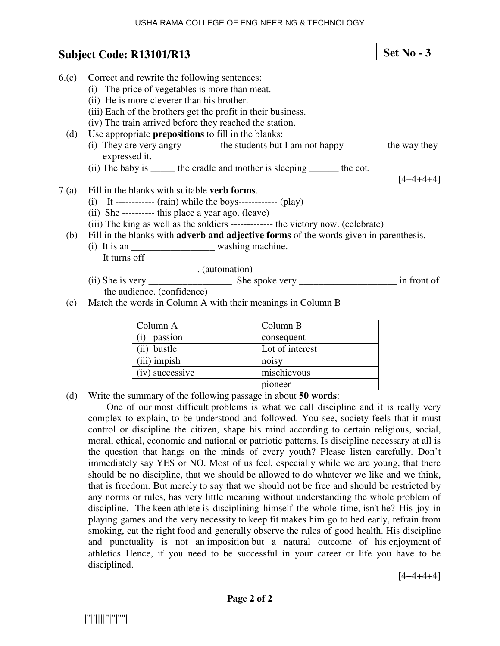## **Subject Code: R13101/R13**

6.(c) Correct and rewrite the following sentences: (i) The price of vegetables is more than meat. (ii) He is more cleverer than his brother. (iii) Each of the brothers get the profit in their business. (iv) The train arrived before they reached the station. (d) Use appropriate **prepositions** to fill in the blanks: (i) They are very angry \_\_\_\_\_\_\_ the students but I am not happy \_\_\_\_\_\_\_\_ the way they expressed it. (ii) The baby is \_\_\_\_\_\_ the cradle and mother is sleeping \_\_\_\_\_\_\_ the cot.  $[4+4+4+4]$ 7.(a) Fill in the blanks with suitable **verb forms**. (i) It ------------ (rain) while the boys------------ (play) (ii) She ---------- this place a year ago. (leave) (iii) The king as well as the soldiers ------------- the victory now. (celebrate) (b) Fill in the blanks with **adverb and adjective forms** of the words given in parenthesis. (i) It is an \_\_\_\_\_\_\_\_\_\_\_\_\_\_\_\_\_ washing machine. It turns off \_\_\_\_\_\_\_\_\_\_\_\_\_\_\_\_\_\_\_. (automation) (ii) She is very \_\_\_\_\_\_\_\_\_\_\_\_\_\_\_\_\_. She spoke very \_\_\_\_\_\_\_\_\_\_\_\_\_\_\_\_\_\_\_\_ in front of the audience. (confidence) (c) Match the words in Column A with their meanings in Column B Column A Column B

| Column A        | Column B        |
|-----------------|-----------------|
| passion         | consequent      |
| bustle          | Lot of interest |
| $(iii)$ impish  | noisy           |
| (iv) successive | mischievous     |
|                 | pioneer         |

(d) Write the summary of the following passage in about **50 words**:

One of our most difficult problems is what we call discipline and it is really very complex to explain, to be understood and followed. You see, society feels that it must control or discipline the citizen, shape his mind according to certain religious, social, moral, ethical, economic and national or patriotic patterns. Is discipline necessary at all is the question that hangs on the minds of every youth? Please listen carefully. Don't immediately say YES or NO. Most of us feel, especially while we are young, that there should be no discipline, that we should be allowed to do whatever we like and we think, that is freedom. But merely to say that we should not be free and should be restricted by any norms or rules, has very little meaning without understanding the whole problem of discipline. The keen athlete is disciplining himself the whole time, isn't he? His joy in playing games and the very necessity to keep fit makes him go to bed early, refrain from smoking, eat the right food and generally observe the rules of good health. His discipline and punctuality is not an imposition but a natural outcome of his enjoyment of athletics. Hence, if you need to be successful in your career or life you have to be disciplined.

 $[4+4+4+4]$ 

**Set No - 3**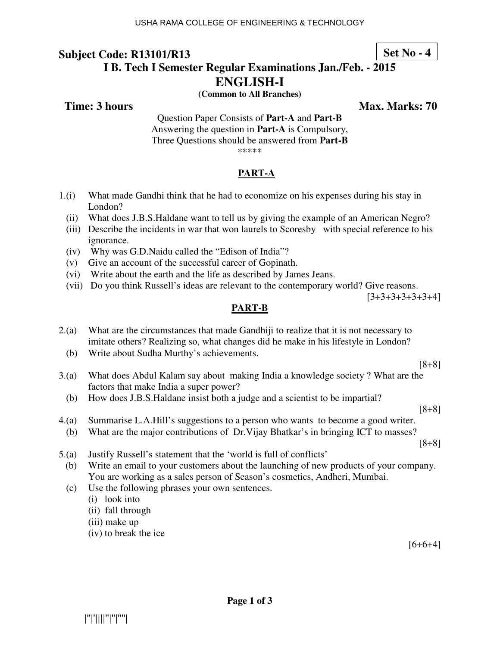### **Set No - 4**

## **I B. Tech I Semester Regular Examinations Jan./Feb. - 2015 ENGLISH-I**

**(Common to All Branches)** 

**Time: 3 hours Max. Marks: 70 Max. Marks: 70** 

Question Paper Consists of **Part-A** and **Part-B** Answering the question in **Part-A** is Compulsory, Three Questions should be answered from **Part-B** \*\*\*\*\*

#### **PART-A**

- 1.(i) What made Gandhi think that he had to economize on his expenses during his stay in London?
	- (ii) What does J.B.S.Haldane want to tell us by giving the example of an American Negro?
	- (iii) Describe the incidents in war that won laurels to Scoresby with special reference to his ignorance.
	- (iv) Why was G.D.Naidu called the "Edison of India"?
	- (v) Give an account of the successful career of Gopinath.
	- (vi) Write about the earth and the life as described by James Jeans.
	- (vii) Do you think Russell's ideas are relevant to the contemporary world? Give reasons.

[3+3+3+3+3+3+4]

#### **PART-B**

- 2.(a) What are the circumstances that made Gandhiji to realize that it is not necessary to imitate others? Realizing so, what changes did he make in his lifestyle in London?
	- (b) Write about Sudha Murthy's achievements.

[8+8]

- 3.(a) What does Abdul Kalam say about making India a knowledge society ? What are the factors that make India a super power?
- (b) How does J.B.S.Haldane insist both a judge and a scientist to be impartial?

[8+8]

- 4.(a) Summarise L.A.Hill's suggestions to a person who wants to become a good writer.
- (b) What are the major contributions of Dr.Vijay Bhatkar's in bringing ICT to masses?

[8+8]

- 5.(a) Justify Russell's statement that the 'world is full of conflicts'
- (b) Write an email to your customers about the launching of new products of your company. You are working as a sales person of Season's cosmetics, Andheri, Mumbai.
- (c) Use the following phrases your own sentences.
	- (i) look into
	- (ii) fall through
	- (iii) make up
	- (iv) to break the ice

 $[6+6+4]$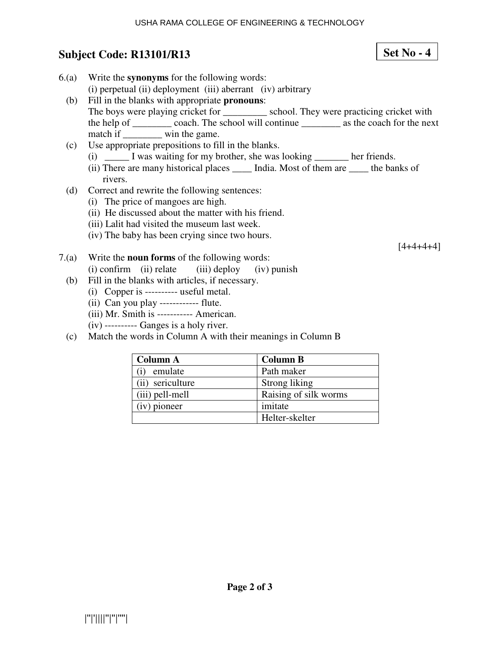**Set No - 4**

## **Subject Code: R13101/R13**

| 6(a)  | Write the <b>synonyms</b> for the following words:                                            |
|-------|-----------------------------------------------------------------------------------------------|
|       | (i) perpetual (ii) deployment (iii) aberrant (iv) arbitrary                                   |
| (b)   | Fill in the blanks with appropriate <b>pronouns</b> :                                         |
|       | The boys were playing cricket for ____________ school. They were practicing cricket with      |
|       | the help of ___________ coach. The school will continue ___________ as the coach for the next |
|       | match if __________ win the game.                                                             |
| (c)   | Use appropriate prepositions to fill in the blanks.                                           |
|       | (i) _______ I was waiting for my brother, she was looking _________ her friends.              |
|       | (ii) There are many historical places _______ India. Most of them are ______ the banks of     |
|       | rivers.                                                                                       |
| (d)   | Correct and rewrite the following sentences:                                                  |
|       | (i) The price of mangoes are high.                                                            |
|       | (ii) He discussed about the matter with his friend.                                           |
|       | (iii) Lalit had visited the museum last week.                                                 |
|       | (iv) The baby has been crying since two hours.                                                |
|       | 14+4+4+4 <sup>-</sup>                                                                         |
| 7.(a) | Write the <b>noun forms</b> of the following words:                                           |
|       | $(i)$ confirm $(ii)$ relate $(iii)$ deploy $(iv)$ punish                                      |
| (b)   | Fill in the blanks with articles, if necessary.                                               |
|       |                                                                                               |

- (i) Copper is ---------- useful metal.
- (ii) Can you play ------------ flute.
- (iii) Mr. Smith is ----------- American.
- (iv) ---------- Ganges is a holy river.
- (c) Match the words in Column A with their meanings in Column B

| <b>Column A</b>  | <b>Column B</b>       |
|------------------|-----------------------|
| emulate          | Path maker            |
| (ii) sericulture | Strong liking         |
| (iii) pell-mell  | Raising of silk worms |
| (iv) pioneer     | imitate               |
|                  | Helter-skelter        |